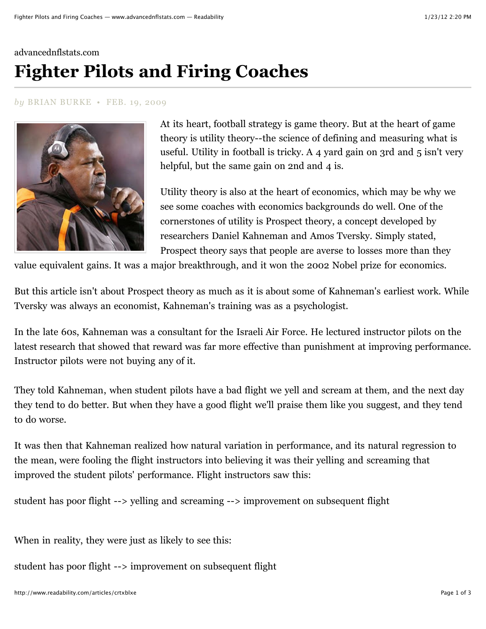## [advancednflstats.com](http://www.advancednflstats.com/2009/02/fighter-pilots-and-firing-coaches.html) **Fighter Pilots and Firing Coaches**

## *by* BRIAN BURKE • FEB. 19, 2009



At its heart, football strategy is game theory. But at the heart of game theory is utility theory--the science of defining and measuring what is useful. Utility in football is tricky. A 4 yard gain on 3rd and 5 isn't very helpful, but the same gain on 2nd and 4 is.

Utility theory is also at the heart of economics, which may be why we see some coaches with economics backgrounds do well. One of the cornerstones of utility is Prospect theory, a concept developed by researchers Daniel Kahneman and Amos Tversky. Simply stated, Prospect theory says that people are averse to losses more than they

value equivalent gains. It was a major breakthrough, and it won the 2002 Nobel prize for economics.

But this article isn't about Prospect theory as much as it is about some of Kahneman's earliest work. While Tversky was always an economist, Kahneman's training was as a psychologist.

In the late 60s, Kahneman was a consultant for the Israeli Air Force. He lectured instructor pilots on the latest research that showed that reward was far more effective than punishment at improving performance. Instructor pilots were not buying any of it.

They [told Kahneman,](http://money.cnn.com/magazines/moneymag/moneymag_archive/2001/05/01/301274/index.htm) when student pilots have a bad flight we yell and scream at them, and the next day they tend to do better. But when they have a good flight we'll praise them like you suggest, and they tend to do worse.

It was then that Kahneman realized how natural variation in performance, and its natural regression to the mean, were fooling the flight instructors into believing it was their yelling and screaming that improved the student pilots' performance. Flight instructors saw this:

student has poor flight --> yelling and screaming --> improvement on subsequent flight

When in reality, they were just as likely to see this:

student has poor flight --> improvement on subsequent flight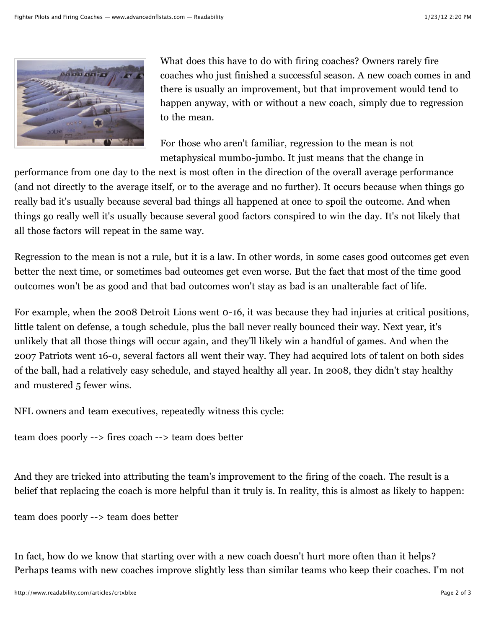

[What does this have to do with firing coaches? Owners rarely fire](http://sabermetricresearch.blogspot.com/2009/01/mid-season-coaching-changes-are.html) coaches who just finished a successful season. A new coach comes in and [there is usually an improvement, but that improvement would tend to](http://www.advancednflstats.com/2008/05/turnovers-and-2008-expected-wins.html) happen anyway, [with or without a new coach](http://www.pro-football-reference.com/blog/?p=62), simply due to regression to the mean.

For those who aren't familiar, regression to the mean is not metaphysical mumbo-jumbo. It just means that the change in

performance from one day to the next is most often in the direction of the overall average performance (and not directly to the average itself, or to the average and no further). It occurs because when things go really bad it's usually because several bad things all happened at once to spoil the outcome. And when things go really well it's usually because several good factors conspired to win the day. It's not likely that all those factors will repeat in the same way.

Regression to the mean is not a rule, but it is a law. In other words, in some cases good outcomes get even better the next time, or sometimes bad outcomes get even worse. But the fact that most of the time good outcomes won't be as good and that bad outcomes won't stay as bad is an unalterable fact of life.

For example, when the 2008 Detroit Lions went 0-16, it was because they had injuries at critical positions, little talent on defense, a tough schedule, plus the ball never really bounced their way. Next year, it's unlikely that all those things will occur again, and they'll likely win a handful of games. And when the 2007 Patriots went 16-0, several factors all went their way. They had acquired lots of talent on both sides of the ball, had a relatively easy schedule, and stayed healthy all year. In 2008, they didn't stay healthy and mustered 5 fewer wins.

NFL owners and team executives, repeatedly witness this cycle:

team does poorly --> fires coach --> team does better

And they are tricked into attributing the team's improvement to the firing of the coach. The result is a belief that replacing the coach is more helpful than it truly is. In reality, this is almost as likely to happen:

team does poorly --> team does better

In fact, how do we know that starting over with a new coach doesn't hurt more often than it helps? Perhaps teams with new coaches improve slightly less than similar teams who keep their coaches. I'm not